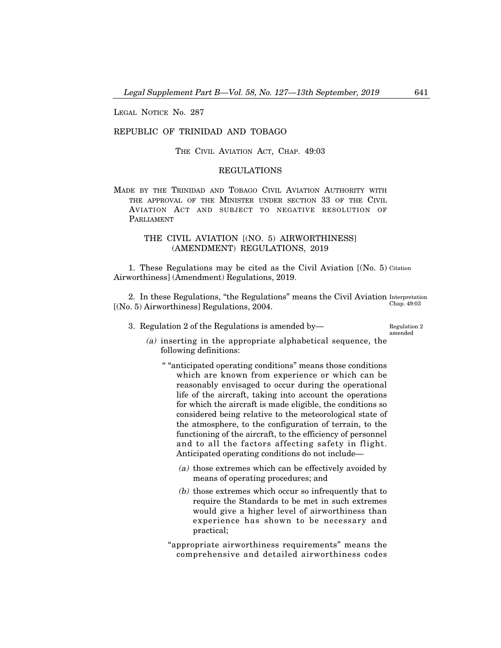LEGAL NOTICE No. 287

### REPUBLIC OF TRINIDAD AND TOBAGO

THE CIVIL AVIATION ACT, CHAP. 49:03

## REGULATIONS

MADE BY THE TRINIDAD AND TOBAGO CIVIL AVIATION AUTHORITY WITH THE APPROVAL OF THE MINISTER UNDER SECTION 33 OF THE CIVIL AVIATION ACT AND SUBJECT TO NEGATIVE RESOLUTION OF PARLIAMENT

## THE CIVIL AVIATION [(NO. 5) AIRWORTHINESS] (AMENDMENT) REGULATIONS, 2019

1. These Regulations may be cited as the Civil Aviation [(No. 5) Citation Airworthiness] (Amendment) Regulations, 2019.

2. In these Regulations, "the Regulations" means the Civil Aviation Interpretation [(No. 5) Airworthiness] Regulations, 2004. Chap. 49:03

3. Regulation 2 of the Regulations is amended by–

Regulation 2 amended

- (a) inserting in the appropriate alphabetical sequence, the following definitions:
	- " "anticipated operating conditions" means those conditions which are known from experience or which can be reasonably envisaged to occur during the operational life of the aircraft, taking into account the operations for which the aircraft is made eligible, the conditions so considered being relative to the meteorological state of the atmosphere, to the configuration of terrain, to the functioning of the aircraft, to the efficiency of personnel and to all the factors affecting safety in flight. Anticipated operating conditions do not include–
		- (a) those extremes which can be effectively avoided by means of operating procedures; and
		- (b) those extremes which occur so infrequently that to require the Standards to be met in such extremes would give a higher level of airworthiness than experience has shown to be necessary and practical;
	- "appropriate airworthiness requirements" means the comprehensive and detailed airworthiness codes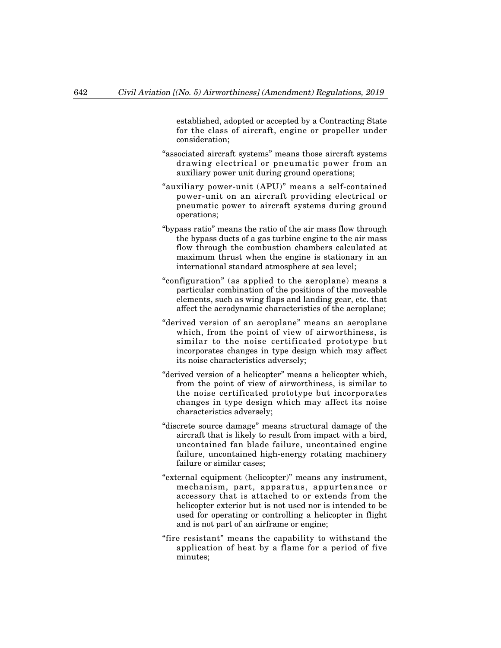established, adopted or accepted by a Contracting State for the class of aircraft, engine or propeller under consideration;

- "associated aircraft systems" means those aircraft systems drawing electrical or pneumatic power from an auxiliary power unit during ground operations;
- "auxiliary power-unit (APU)" means a self-contained power-unit on an aircraft providing electrical or pneumatic power to aircraft systems during ground operations;
- "bypass ratio" means the ratio of the air mass flow through the bypass ducts of a gas turbine engine to the air mass flow through the combustion chambers calculated at maximum thrust when the engine is stationary in an international standard atmosphere at sea level;
- "configuration" (as applied to the aeroplane) means a particular combination of the positions of the moveable elements, such as wing flaps and landing gear, etc. that affect the aerodynamic characteristics of the aeroplane;
- "derived version of an aeroplane" means an aeroplane which, from the point of view of airworthiness, is similar to the noise certificated prototype but incorporates changes in type design which may affect its noise characteristics adversely;
- "derived version of a helicopter" means a helicopter which, from the point of view of airworthiness, is similar to the noise certificated prototype but incorporates changes in type design which may affect its noise characteristics adversely;
- "discrete source damage" means structural damage of the aircraft that is likely to result from impact with a bird, uncontained fan blade failure, uncontained engine failure, uncontained high-energy rotating machinery failure or similar cases;
- "external equipment (helicopter)" means any instrument, mechanism, part, apparatus, appurtenance or accessory that is attached to or extends from the helicopter exterior but is not used nor is intended to be used for operating or controlling a helicopter in flight and is not part of an airframe or engine;
- "fire resistant" means the capability to withstand the application of heat by a flame for a period of five minutes;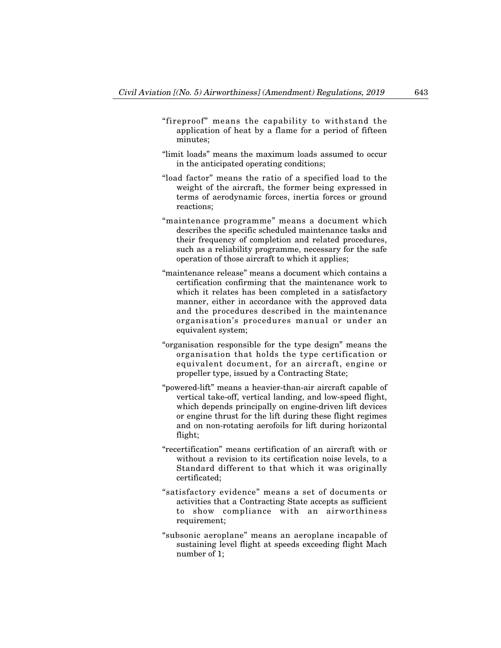- "fireproof" means the capability to withstand the application of heat by a flame for a period of fifteen minutes;
- "limit loads" means the maximum loads assumed to occur in the anticipated operating conditions;
- "load factor" means the ratio of a specified load to the weight of the aircraft, the former being expressed in terms of aerodynamic forces, inertia forces or ground reactions;
- "maintenance programme" means a document which describes the specific scheduled maintenance tasks and their frequency of completion and related procedures, such as a reliability programme, necessary for the safe operation of those aircraft to which it applies;
- "maintenance release" means a document which contains a certification confirming that the maintenance work to which it relates has been completed in a satisfactory manner, either in accordance with the approved data and the procedures described in the maintenance organisation's procedures manual or under an equivalent system;
- "organisation responsible for the type design" means the organisation that holds the type certification or equivalent document, for an aircraft, engine or propeller type, issued by a Contracting State;
- "powered-lift" means a heavier-than-air aircraft capable of vertical take-off, vertical landing, and low-speed flight, which depends principally on engine-driven lift devices or engine thrust for the lift during these flight regimes and on non-rotating aerofoils for lift during horizontal flight;
- "recertification" means certification of an aircraft with or without a revision to its certification noise levels, to a Standard different to that which it was originally certificated;
- "satisfactory evidence" means a set of documents or activities that a Contracting State accepts as sufficient to show compliance with an airworthiness requirement;
- "subsonic aeroplane" means an aeroplane incapable of sustaining level flight at speeds exceeding flight Mach number of 1;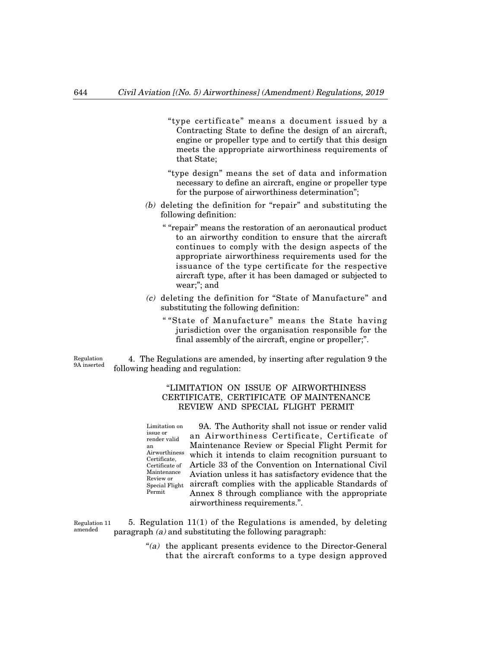- "type certificate" means a document issued by a Contracting State to define the design of an aircraft, engine or propeller type and to certify that this design meets the appropriate airworthiness requirements of that State;
- "type design" means the set of data and information necessary to define an aircraft, engine or propeller type for the purpose of airworthiness determination";
- (b) deleting the definition for "repair" and substituting the following definition:
	- " "repair" means the restoration of an aeronautical product to an airworthy condition to ensure that the aircraft continues to comply with the design aspects of the appropriate airworthiness requirements used for the issuance of the type certificate for the respective aircraft type, after it has been damaged or subjected to wear;"; and
- (c) deleting the definition for "State of Manufacture" and substituting the following definition:
	- " "State of Manufacture" means the State having jurisdiction over the organisation responsible for the final assembly of the aircraft, engine or propeller;".

Regulation 9A inserted

an

4. The Regulations are amended, by inserting after regulation 9 the following heading and regulation:

# "LIMITATION ON ISSUE OF AIRWORTHINESS CERTIFICATE, CERTIFICATE OF MAINTENANCE REVIEW AND SPECIAL FLIGHT PERMIT

9A. The Authority shall not issue or render valid an Airworthiness Certificate, Certificate of Maintenance Review or Special Flight Permit for which it intends to claim recognition pursuant to Article 33 of the Convention on International Civil Aviation unless it has satisfactory evidence that the aircraft complies with the applicable Standards of Annex 8 through compliance with the appropriate airworthiness requirements.". Limitation on issue or render valid Airworthiness Certificate, Certificate of Maintenance Review or Special Flight Permit

5. Regulation 11(1) of the Regulations is amended, by deleting paragraph  $(a)$  and substituting the following paragraph: Regulation 11 amended

> "(a) the applicant presents evidence to the Director-General that the aircraft conforms to a type design approved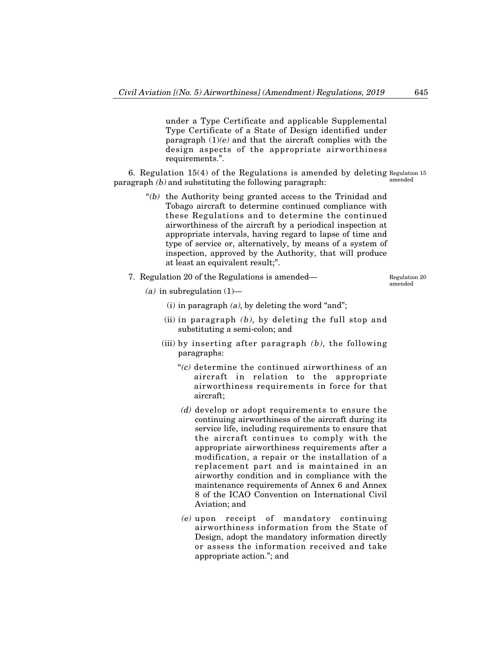under a Type Certificate and applicable Supplemental Type Certificate of a State of Design identified under paragraph  $(1)(e)$  and that the aircraft complies with the design aspects of the appropriate airworthiness requirements.".

6. Regulation 15(4) of the Regulations is amended by deleting Regulation 15 paragraph  $(b)$  and substituting the following paragraph: amended

- "(b) the Authority being granted access to the Trinidad and Tobago aircraft to determine continued compliance with these Regulations and to determine the continued airworthiness of the aircraft by a periodical inspection at appropriate intervals, having regard to lapse of time and type of service or, alternatively, by means of a system of inspection, approved by the Authority, that will produce at least an equivalent result;".
- 7. Regulation 20 of the Regulations is amended–

Regulation 20 amended

- (a) in subregulation  $(1)$ 
	- (i) in paragraph  $(a)$ , by deleting the word "and";
	- (ii) in paragraph  $(b)$ , by deleting the full stop and substituting a semi-colon; and
	- (iii) by inserting after paragraph  $(b)$ , the following paragraphs:
		- $C$  determine the continued airworthiness of an aircraft in relation to the appropriate airworthiness requirements in force for that aircraft;
		- (d) develop or adopt requirements to ensure the continuing airworthiness of the aircraft during its service life, including requirements to ensure that the aircraft continues to comply with the appropriate airworthiness requirements after a modification, a repair or the installation of a replacement part and is maintained in an airworthy condition and in compliance with the maintenance requirements of Annex 6 and Annex 8 of the ICAO Convention on International Civil Aviation; and
		- (e) upon receipt of mandatory continuing airworthiness information from the State of Design, adopt the mandatory information directly or assess the information received and take appropriate action."; and